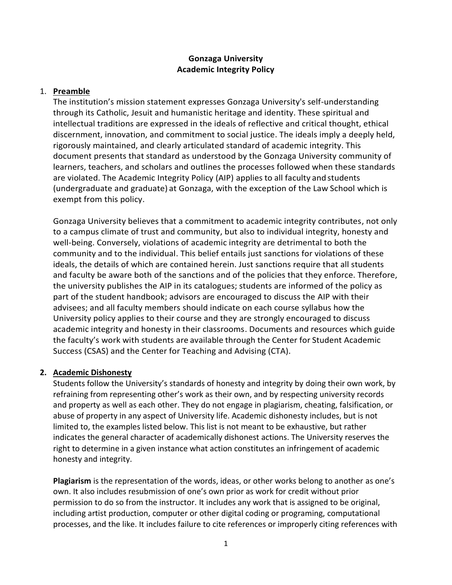#### **Gonzaga University Academic Integrity Policy**

#### 1. **Preamble**

The institution's mission statement expresses Gonzaga University's self-understanding through its Catholic, Jesuit and humanistic heritage and identity. These spiritual and intellectual traditions are expressed in the ideals of reflective and critical thought, ethical discernment, innovation, and commitment to social justice. The ideals imply a deeply held, rigorously maintained, and clearly articulated standard of academic integrity. This document presents that standard as understood by the Gonzaga University community of learners, teachers, and scholars and outlines the processes followed when these standards are violated. The Academic Integrity Policy (AIP) appliesto all faculty and students (undergraduate and graduate) at Gonzaga, with the exception of the Law School which is exempt from this policy.

Gonzaga University believes that a commitment to academic integrity contributes, not only to a campus climate of trust and community, but also to individual integrity, honesty and well-being. Conversely, violations of academic integrity are detrimental to both the community and to the individual. This belief entails just sanctions for violations of these ideals, the details of which are contained herein. Just sanctions require that all students and faculty be aware both of the sanctions and of the policies that they enforce. Therefore, the university publishes the AIP in its catalogues; students are informed of the policy as part of the student handbook; advisors are encouraged to discuss the AIP with their advisees; and all faculty members should indicate on each course syllabus how the University policy applies to their course and they are strongly encouraged to discuss academic integrity and honesty in their classrooms. Documents and resources which guide the faculty's work with students are available through the Center for Student Academic Success (CSAS) and the Center for Teaching and Advising (CTA).

#### **2. Academic Dishonesty**

Students follow the University's standards of honesty and integrity by doing their own work, by refraining from representing other's work as their own, and by respecting university records and property as well as each other. They do not engage in plagiarism, cheating, falsification, or abuse of property in any aspect of University life. Academic dishonesty includes, but is not limited to, the examples listed below. This list is not meant to be exhaustive, but rather indicates the general character of academically dishonest actions. The University reserves the right to determine in a given instance what action constitutes an infringement of academic honesty and integrity.

**Plagiarism** is the representation of the words, ideas, or other works belong to another as one's own. It also includes resubmission of one's own prior as work for credit without prior permission to do so from the instructor. It includes any work that is assigned to be original, including artist production, computer or other digital coding or programing, computational processes, and the like. It includes failure to cite references or improperly citing references with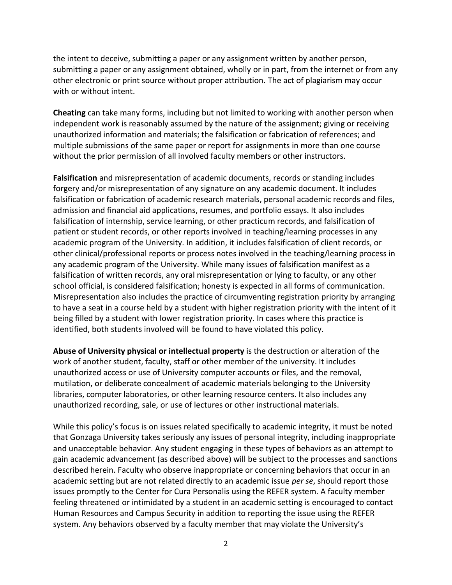the intent to deceive, submitting a paper or any assignment written by another person, submitting a paper or any assignment obtained, wholly or in part, from the internet or from any other electronic or print source without proper attribution. The act of plagiarism may occur with or without intent.

**Cheating** can take many forms, including but not limited to working with another person when independent work is reasonably assumed by the nature of the assignment; giving or receiving unauthorized information and materials; the falsification or fabrication of references; and multiple submissions of the same paper or report for assignments in more than one course without the prior permission of all involved faculty members or other instructors.

**Falsification** and misrepresentation of academic documents, records or standing includes forgery and/or misrepresentation of any signature on any academic document. It includes falsification or fabrication of academic research materials, personal academic records and files, admission and financial aid applications, resumes, and portfolio essays. It also includes falsification of internship, service learning, or other practicum records, and falsification of patient or student records, or other reports involved in teaching/learning processes in any academic program of the University. In addition, it includes falsification of client records, or other clinical/professional reports or process notes involved in the teaching/learning process in any academic program of the University. While many issues of falsification manifest as a falsification of written records, any oral misrepresentation or lying to faculty, or any other school official, is considered falsification; honesty is expected in all forms of communication. Misrepresentation also includes the practice of circumventing registration priority by arranging to have a seat in a course held by a student with higher registration priority with the intent of it being filled by a student with lower registration priority. In cases where this practice is identified, both students involved will be found to have violated this policy.

**Abuse of University physical or intellectual property** is the destruction or alteration of the work of another student, faculty, staff or other member of the university. It includes unauthorized access or use of University computer accounts or files, and the removal, mutilation, or deliberate concealment of academic materials belonging to the University libraries, computer laboratories, or other learning resource centers. It also includes any unauthorized recording, sale, or use of lectures or other instructional materials.

While this policy's focus is on issues related specifically to academic integrity, it must be noted that Gonzaga University takes seriously any issues of personal integrity, including inappropriate and unacceptable behavior. Any student engaging in these types of behaviors as an attempt to gain academic advancement (as described above) will be subject to the processes and sanctions described herein. Faculty who observe inappropriate or concerning behaviors that occur in an academic setting but are not related directly to an academic issue *per se*, should report those issues promptly to the Center for Cura Personalis using the REFER system. A faculty member feeling threatened or intimidated by a student in an academic setting is encouraged to contact Human Resources and Campus Security in addition to reporting the issue using the REFER system. Any behaviors observed by a faculty member that may violate the University's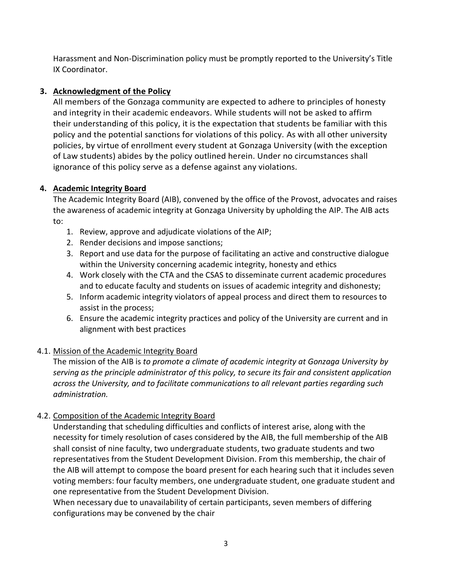Harassment and Non-Discrimination policy must be promptly reported to the University's Title IX Coordinator.

# **3. Acknowledgment of the Policy**

All members of the Gonzaga community are expected to adhere to principles of honesty and integrity in their academic endeavors. While students will not be asked to affirm their understanding of this policy, it is the expectation that students be familiar with this policy and the potential sanctions for violations of this policy. As with all other university policies, by virtue of enrollment every student at Gonzaga University (with the exception of Law students) abides by the policy outlined herein. Under no circumstances shall ignorance of this policy serve as a defense against any violations.

## **4. Academic Integrity Board**

The Academic Integrity Board (AIB), convened by the office of the Provost, advocates and raises the awareness of academic integrity at Gonzaga University by upholding the AIP. The AIB acts to:

- 1. Review, approve and adjudicate violations of the AIP;
- 2. Render decisions and impose sanctions;
- 3. Report and use data for the purpose of facilitating an active and constructive dialogue within the University concerning academic integrity, honesty and ethics
- 4. Work closely with the CTA and the CSAS to disseminate current academic procedures and to educate faculty and students on issues of academic integrity and dishonesty;
- 5. Inform academic integrity violators of appeal process and direct them to resources to assist in the process;
- 6. Ensure the academic integrity practices and policy of the University are current and in alignment with best practices

## 4.1. Mission of the Academic Integrity Board

The mission of the AIB is *to promote a climate of academic integrity at Gonzaga University by serving as the principle administrator of this policy, to secure its fair and consistent application across the University, and to facilitate communications to all relevant parties regarding such administration.*

## 4.2. Composition of the Academic Integrity Board

Understanding that scheduling difficulties and conflicts of interest arise, along with the necessity for timely resolution of cases considered by the AIB, the full membership of the AIB shall consist of nine faculty, two undergraduate students, two graduate students and two representatives from the Student Development Division. From this membership, the chair of the AIB will attempt to compose the board present for each hearing such that it includes seven voting members: four faculty members, one undergraduate student, one graduate student and one representative from the Student Development Division.

When necessary due to unavailability of certain participants, seven members of differing configurations may be convened by the chair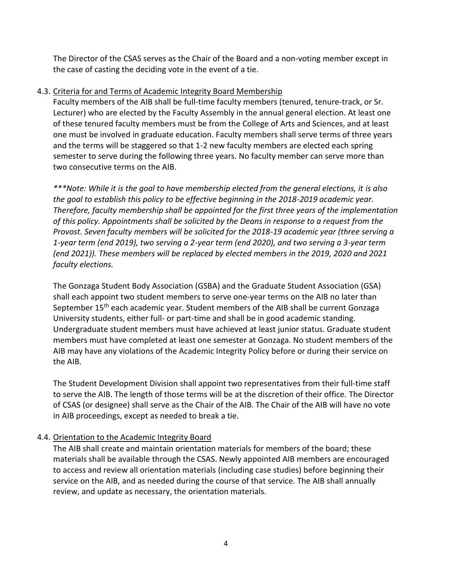The Director of the CSAS serves as the Chair of the Board and a non-voting member except in the case of casting the deciding vote in the event of a tie.

#### 4.3. Criteria for and Terms of Academic Integrity Board Membership

Faculty members of the AIB shall be full-time faculty members (tenured, tenure-track, or Sr. Lecturer) who are elected by the Faculty Assembly in the annual general election. At least one of these tenured faculty members must be from the College of Arts and Sciences, and at least one must be involved in graduate education. Faculty members shall serve terms of three years and the terms will be staggered so that 1-2 new faculty members are elected each spring semester to serve during the following three years. No faculty member can serve more than two consecutive terms on the AIB.

*\*\*\*Note: While it is the goal to have membership elected from the general elections, it is also the goal to establish this policy to be effective beginning in the 2018-2019 academic year. Therefore, faculty membership shall be appointed for the first three years of the implementation of this policy. Appointments shall be solicited by the Deans in response to a request from the Provost. Seven faculty members will be solicited for the 2018-19 academic year (three serving a 1-year term (end 2019), two serving a 2-year term (end 2020), and two serving a 3-year term (end 2021)). These members will be replaced by elected members in the 2019, 2020 and 2021 faculty elections.* 

The Gonzaga Student Body Association (GSBA) and the Graduate Student Association (GSA) shall each appoint two student members to serve one-year terms on the AIB no later than September 15th each academic year. Student members of the AIB shall be current Gonzaga University students, either full- or part-time and shall be in good academic standing. Undergraduate student members must have achieved at least junior status. Graduate student members must have completed at least one semester at Gonzaga. No student members of the AIB may have any violations of the Academic Integrity Policy before or during their service on the AIB.

The Student Development Division shall appoint two representatives from their full-time staff to serve the AIB. The length of those terms will be at the discretion of their office. The Director of CSAS (or designee) shall serve as the Chair of the AIB. The Chair of the AIB will have no vote in AIB proceedings, except as needed to break a tie.

#### 4.4. Orientation to the Academic Integrity Board

The AIB shall create and maintain orientation materials for members of the board; these materials shall be available through the CSAS. Newly appointed AIB members are encouraged to access and review all orientation materials (including case studies) before beginning their service on the AIB, and as needed during the course of that service. The AIB shall annually review, and update as necessary, the orientation materials.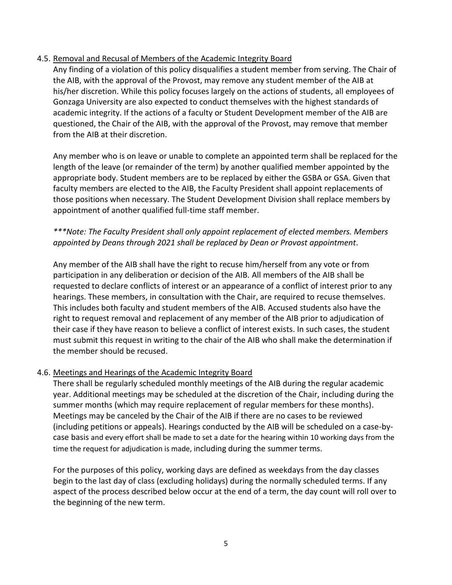#### 4.5. Removal and Recusal of Members of the Academic Integrity Board

Any finding of a violation of this policy disqualifies a student member from serving. The Chair of the AIB, with the approval of the Provost, may remove any student member of the AIB at his/her discretion. While this policy focuses largely on the actions of students, all employees of Gonzaga University are also expected to conduct themselves with the highest standards of academic integrity. If the actions of a faculty or Student Development member of the AIB are questioned, the Chair of the AIB, with the approval of the Provost, may remove that member from the AIB at their discretion.

Any member who is on leave or unable to complete an appointed term shall be replaced for the length of the leave (or remainder of the term) by another qualified member appointed by the appropriate body. Student members are to be replaced by either the GSBA or GSA. Given that faculty members are elected to the AIB, the Faculty President shall appoint replacements of those positions when necessary. The Student Development Division shall replace members by appointment of another qualified full-time staff member.

#### *\*\*\*Note: The Faculty President shall only appoint replacement of elected members. Members appointed by Deans through 2021 shall be replaced by Dean or Provost appointment*.

Any member of the AIB shall have the right to recuse him/herself from any vote or from participation in any deliberation or decision of the AIB. All members of the AIB shall be requested to declare conflicts of interest or an appearance of a conflict of interest prior to any hearings. These members, in consultation with the Chair, are required to recuse themselves. This includes both faculty and student members of the AIB. Accused students also have the right to request removal and replacement of any member of the AIB prior to adjudication of their case if they have reason to believe a conflict of interest exists. In such cases, the student must submit this request in writing to the chair of the AIB who shall make the determination if the member should be recused.

#### 4.6. Meetings and Hearings of the Academic Integrity Board

There shall be regularly scheduled monthly meetings of the AIB during the regular academic year. Additional meetings may be scheduled at the discretion of the Chair, including during the summer months (which may require replacement of regular members for these months). Meetings may be canceled by the Chair of the AIB if there are no cases to be reviewed (including petitions or appeals). Hearings conducted by the AIB will be scheduled on a case-bycase basis and every effort shall be made to set a date for the hearing within 10 working days from the time the request for adjudication is made, including during the summer terms.

For the purposes of this policy, working days are defined as weekdays from the day classes begin to the last day of class (excluding holidays) during the normally scheduled terms. If any aspect of the process described below occur at the end of a term, the day count will roll over to the beginning of the new term.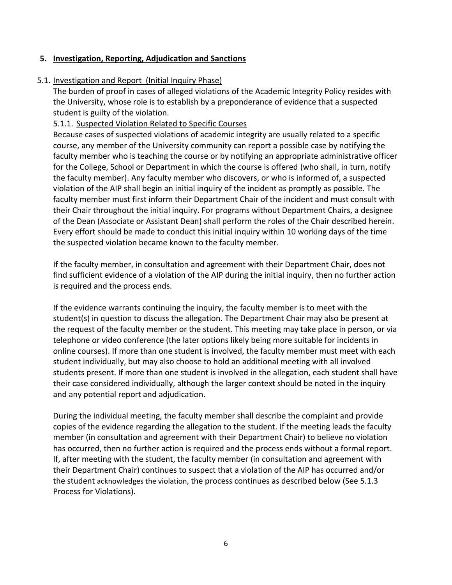#### **5. Investigation, Reporting, Adjudication and Sanctions**

#### 5.1. Investigation and Report (Initial Inquiry Phase)

The burden of proof in cases of alleged violations of the Academic Integrity Policy resides with the University, whose role is to establish by a preponderance of evidence that a suspected student is guilty of the violation.

#### 5.1.1. Suspected Violation Related to Specific Courses

Because cases of suspected violations of academic integrity are usually related to a specific course, any member of the University community can report a possible case by notifying the faculty member who is teaching the course or by notifying an appropriate administrative officer for the College, School or Department in which the course is offered (who shall, in turn, notify the faculty member). Any faculty member who discovers, or who is informed of, a suspected violation of the AIP shall begin an initial inquiry of the incident as promptly as possible. The faculty member must first inform their Department Chair of the incident and must consult with their Chair throughout the initial inquiry. For programs without Department Chairs, a designee of the Dean (Associate or Assistant Dean) shall perform the roles of the Chair described herein. Every effort should be made to conduct this initial inquiry within 10 working days of the time the suspected violation became known to the faculty member.

If the faculty member, in consultation and agreement with their Department Chair, does not find sufficient evidence of a violation of the AIP during the initial inquiry, then no further action is required and the process ends.

If the evidence warrants continuing the inquiry, the faculty member is to meet with the student(s) in question to discuss the allegation. The Department Chair may also be present at the request of the faculty member or the student. This meeting may take place in person, or via telephone or video conference (the later options likely being more suitable for incidents in online courses). If more than one student is involved, the faculty member must meet with each student individually, but may also choose to hold an additional meeting with all involved students present. If more than one student is involved in the allegation, each student shall have their case considered individually, although the larger context should be noted in the inquiry and any potential report and adjudication.

During the individual meeting, the faculty member shall describe the complaint and provide copies of the evidence regarding the allegation to the student. If the meeting leads the faculty member (in consultation and agreement with their Department Chair) to believe no violation has occurred, then no further action is required and the process ends without a formal report. If, after meeting with the student, the faculty member (in consultation and agreement with their Department Chair) continues to suspect that a violation of the AIP has occurred and/or the student acknowledges the violation, the process continues as described below (See 5.1.3 Process for Violations).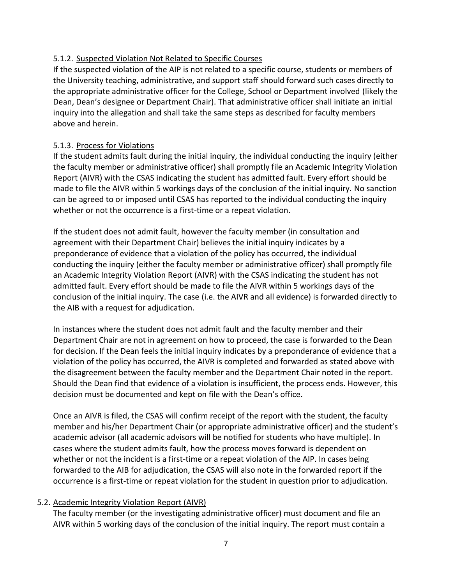## 5.1.2. Suspected Violation Not Related to Specific Courses

If the suspected violation of the AIP is not related to a specific course, students or members of the University teaching, administrative, and support staff should forward such cases directly to the appropriate administrative officer for the College, School or Department involved (likely the Dean, Dean's designee or Department Chair). That administrative officer shall initiate an initial inquiry into the allegation and shall take the same steps as described for faculty members above and herein.

## 5.1.3. Process for Violations

If the student admits fault during the initial inquiry, the individual conducting the inquiry (either the faculty member or administrative officer) shall promptly file an Academic Integrity Violation Report (AIVR) with the CSAS indicating the student has admitted fault. Every effort should be made to file the AIVR within 5 workings days of the conclusion of the initial inquiry. No sanction can be agreed to or imposed until CSAS has reported to the individual conducting the inquiry whether or not the occurrence is a first-time or a repeat violation.

If the student does not admit fault, however the faculty member (in consultation and agreement with their Department Chair) believes the initial inquiry indicates by a preponderance of evidence that a violation of the policy has occurred, the individual conducting the inquiry (either the faculty member or administrative officer) shall promptly file an Academic Integrity Violation Report (AIVR) with the CSAS indicating the student has not admitted fault. Every effort should be made to file the AIVR within 5 workings days of the conclusion of the initial inquiry. The case (i.e. the AIVR and all evidence) is forwarded directly to the AIB with a request for adjudication.

In instances where the student does not admit fault and the faculty member and their Department Chair are not in agreement on how to proceed, the case is forwarded to the Dean for decision. If the Dean feels the initial inquiry indicates by a preponderance of evidence that a violation of the policy has occurred, the AIVR is completed and forwarded as stated above with the disagreement between the faculty member and the Department Chair noted in the report. Should the Dean find that evidence of a violation is insufficient, the process ends. However, this decision must be documented and kept on file with the Dean's office.

Once an AIVR is filed, the CSAS will confirm receipt of the report with the student, the faculty member and his/her Department Chair (or appropriate administrative officer) and the student's academic advisor (all academic advisors will be notified for students who have multiple). In cases where the student admits fault, how the process moves forward is dependent on whether or not the incident is a first-time or a repeat violation of the AIP. In cases being forwarded to the AIB for adjudication, the CSAS will also note in the forwarded report if the occurrence is a first-time or repeat violation for the student in question prior to adjudication.

#### 5.2. Academic Integrity Violation Report (AIVR)

The faculty member (or the investigating administrative officer) must document and file an AIVR within 5 working days of the conclusion of the initial inquiry. The report must contain a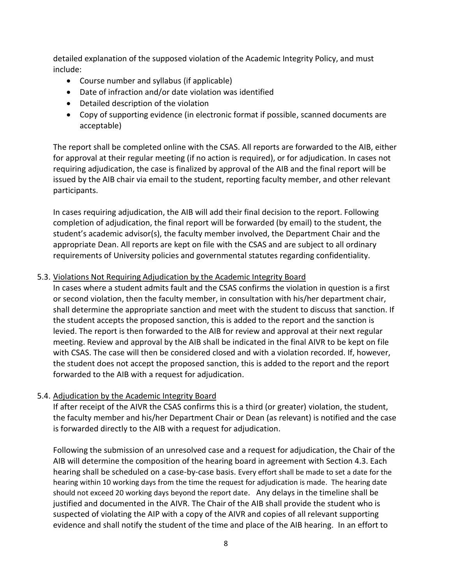detailed explanation of the supposed violation of the Academic Integrity Policy, and must include:

- Course number and syllabus (if applicable)
- Date of infraction and/or date violation was identified
- Detailed description of the violation
- Copy of supporting evidence (in electronic format if possible, scanned documents are acceptable)

The report shall be completed online with the CSAS. All reports are forwarded to the AIB, either for approval at their regular meeting (if no action is required), or for adjudication. In cases not requiring adjudication, the case is finalized by approval of the AIB and the final report will be issued by the AIB chair via email to the student, reporting faculty member, and other relevant participants.

In cases requiring adjudication, the AIB will add their final decision to the report. Following completion of adjudication, the final report will be forwarded (by email) to the student, the student's academic advisor(s), the faculty member involved, the Department Chair and the appropriate Dean. All reports are kept on file with the CSAS and are subject to all ordinary requirements of University policies and governmental statutes regarding confidentiality.

#### 5.3. Violations Not Requiring Adjudication by the Academic Integrity Board

In cases where a student admits fault and the CSAS confirms the violation in question is a first or second violation, then the faculty member, in consultation with his/her department chair, shall determine the appropriate sanction and meet with the student to discuss that sanction. If the student accepts the proposed sanction, this is added to the report and the sanction is levied. The report is then forwarded to the AIB for review and approval at their next regular meeting. Review and approval by the AIB shall be indicated in the final AIVR to be kept on file with CSAS. The case will then be considered closed and with a violation recorded. If, however, the student does not accept the proposed sanction, this is added to the report and the report forwarded to the AIB with a request for adjudication.

#### 5.4. Adjudication by the Academic Integrity Board

If after receipt of the AIVR the CSAS confirms this is a third (or greater) violation, the student, the faculty member and his/her Department Chair or Dean (as relevant) is notified and the case is forwarded directly to the AIB with a request for adjudication.

Following the submission of an unresolved case and a request for adjudication, the Chair of the AIB will determine the composition of the hearing board in agreement with Section 4.3. Each hearing shall be scheduled on a case-by-case basis. Every effort shall be made to set a date for the hearing within 10 working days from the time the request for adjudication is made. The hearing date should not exceed 20 working days beyond the report date. Any delays in the timeline shall be justified and documented in the AIVR. The Chair of the AIB shall provide the student who is suspected of violating the AIP with a copy of the AIVR and copies of all relevant supporting evidence and shall notify the student of the time and place of the AIB hearing. In an effort to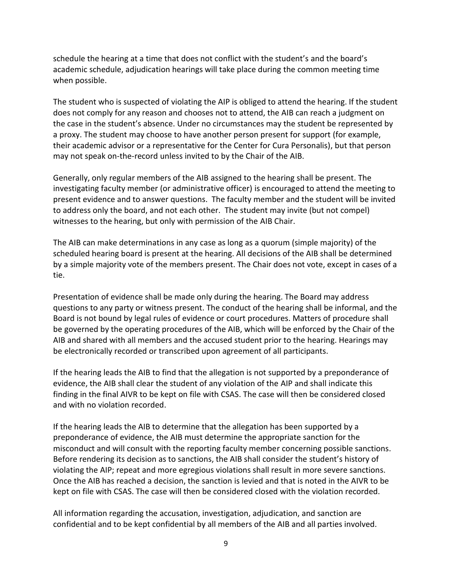schedule the hearing at a time that does not conflict with the student's and the board's academic schedule, adjudication hearings will take place during the common meeting time when possible.

The student who is suspected of violating the AIP is obliged to attend the hearing. If the student does not comply for any reason and chooses not to attend, the AIB can reach a judgment on the case in the student's absence. Under no circumstances may the student be represented by a proxy. The student may choose to have another person present for support (for example, their academic advisor or a representative for the Center for Cura Personalis), but that person may not speak on-the-record unless invited to by the Chair of the AIB.

Generally, only regular members of the AIB assigned to the hearing shall be present. The investigating faculty member (or administrative officer) is encouraged to attend the meeting to present evidence and to answer questions. The faculty member and the student will be invited to address only the board, and not each other. The student may invite (but not compel) witnesses to the hearing, but only with permission of the AIB Chair.

The AIB can make determinations in any case as long as a quorum (simple majority) of the scheduled hearing board is present at the hearing. All decisions of the AIB shall be determined by a simple majority vote of the members present. The Chair does not vote, except in cases of a tie.

Presentation of evidence shall be made only during the hearing. The Board may address questions to any party or witness present. The conduct of the hearing shall be informal, and the Board is not bound by legal rules of evidence or court procedures. Matters of procedure shall be governed by the operating procedures of the AIB, which will be enforced by the Chair of the AIB and shared with all members and the accused student prior to the hearing. Hearings may be electronically recorded or transcribed upon agreement of all participants.

If the hearing leads the AIB to find that the allegation is not supported by a preponderance of evidence, the AIB shall clear the student of any violation of the AIP and shall indicate this finding in the final AIVR to be kept on file with CSAS. The case will then be considered closed and with no violation recorded.

If the hearing leads the AIB to determine that the allegation has been supported by a preponderance of evidence, the AIB must determine the appropriate sanction for the misconduct and will consult with the reporting faculty member concerning possible sanctions. Before rendering its decision as to sanctions, the AIB shall consider the student's history of violating the AIP; repeat and more egregious violations shall result in more severe sanctions. Once the AIB has reached a decision, the sanction is levied and that is noted in the AIVR to be kept on file with CSAS. The case will then be considered closed with the violation recorded.

All information regarding the accusation, investigation, adjudication, and sanction are confidential and to be kept confidential by all members of the AIB and all parties involved.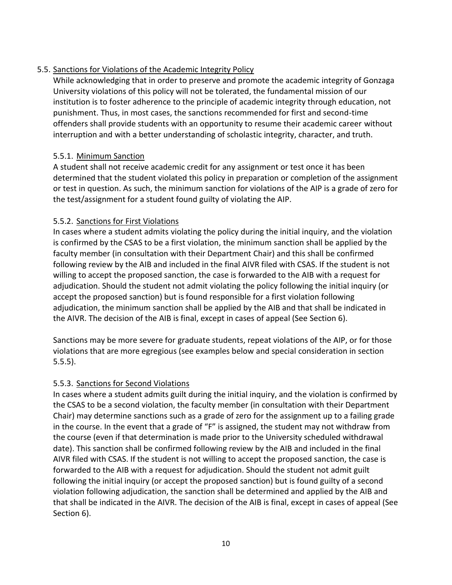## 5.5. Sanctions for Violations of the Academic Integrity Policy

While acknowledging that in order to preserve and promote the academic integrity of Gonzaga University violations of this policy will not be tolerated, the fundamental mission of our institution is to foster adherence to the principle of academic integrity through education, not punishment. Thus, in most cases, the sanctions recommended for first and second-time offenders shall provide students with an opportunity to resume their academic career without interruption and with a better understanding of scholastic integrity, character, and truth.

## 5.5.1. Minimum Sanction

A student shall not receive academic credit for any assignment or test once it has been determined that the student violated this policy in preparation or completion of the assignment or test in question. As such, the minimum sanction for violations of the AIP is a grade of zero for the test/assignment for a student found guilty of violating the AIP.

## 5.5.2. Sanctions for First Violations

In cases where a student admits violating the policy during the initial inquiry, and the violation is confirmed by the CSAS to be a first violation, the minimum sanction shall be applied by the faculty member (in consultation with their Department Chair) and this shall be confirmed following review by the AIB and included in the final AIVR filed with CSAS. If the student is not willing to accept the proposed sanction, the case is forwarded to the AIB with a request for adjudication. Should the student not admit violating the policy following the initial inquiry (or accept the proposed sanction) but is found responsible for a first violation following adjudication, the minimum sanction shall be applied by the AIB and that shall be indicated in the AIVR. The decision of the AIB is final, except in cases of appeal (See Section 6).

Sanctions may be more severe for graduate students, repeat violations of the AIP, or for those violations that are more egregious (see examples below and special consideration in section 5.5.5).

#### 5.5.3. Sanctions for Second Violations

In cases where a student admits guilt during the initial inquiry, and the violation is confirmed by the CSAS to be a second violation, the faculty member (in consultation with their Department Chair) may determine sanctions such as a grade of zero for the assignment up to a failing grade in the course. In the event that a grade of "F" is assigned, the student may not withdraw from the course (even if that determination is made prior to the University scheduled withdrawal date). This sanction shall be confirmed following review by the AIB and included in the final AIVR filed with CSAS. If the student is not willing to accept the proposed sanction, the case is forwarded to the AIB with a request for adjudication. Should the student not admit guilt following the initial inquiry (or accept the proposed sanction) but is found guilty of a second violation following adjudication, the sanction shall be determined and applied by the AIB and that shall be indicated in the AIVR. The decision of the AIB is final, except in cases of appeal (See Section 6).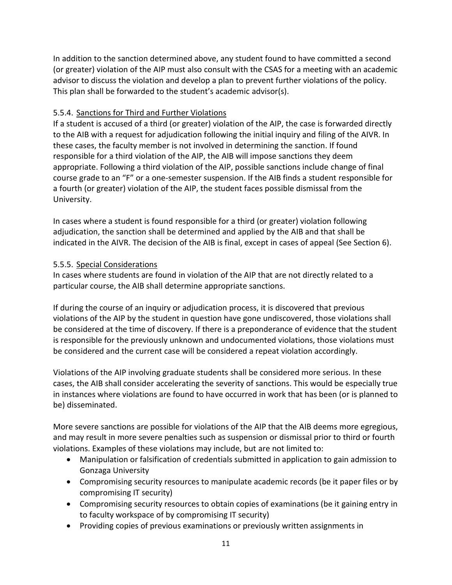In addition to the sanction determined above, any student found to have committed a second (or greater) violation of the AIP must also consult with the CSAS for a meeting with an academic advisor to discuss the violation and develop a plan to prevent further violations of the policy. This plan shall be forwarded to the student's academic advisor(s).

### 5.5.4. Sanctions for Third and Further Violations

If a student is accused of a third (or greater) violation of the AIP, the case is forwarded directly to the AIB with a request for adjudication following the initial inquiry and filing of the AIVR. In these cases, the faculty member is not involved in determining the sanction. If found responsible for a third violation of the AIP, the AIB will impose sanctions they deem appropriate. Following a third violation of the AIP, possible sanctions include change of final course grade to an "F" or a one-semester suspension. If the AIB finds a student responsible for a fourth (or greater) violation of the AIP, the student faces possible dismissal from the University.

In cases where a student is found responsible for a third (or greater) violation following adjudication, the sanction shall be determined and applied by the AIB and that shall be indicated in the AIVR. The decision of the AIB is final, except in cases of appeal (See Section 6).

## 5.5.5. Special Considerations

In cases where students are found in violation of the AIP that are not directly related to a particular course, the AIB shall determine appropriate sanctions.

If during the course of an inquiry or adjudication process, it is discovered that previous violations of the AIP by the student in question have gone undiscovered, those violations shall be considered at the time of discovery. If there is a preponderance of evidence that the student is responsible for the previously unknown and undocumented violations, those violations must be considered and the current case will be considered a repeat violation accordingly.

Violations of the AIP involving graduate students shall be considered more serious. In these cases, the AIB shall consider accelerating the severity of sanctions. This would be especially true in instances where violations are found to have occurred in work that has been (or is planned to be) disseminated.

More severe sanctions are possible for violations of the AIP that the AIB deems more egregious, and may result in more severe penalties such as suspension or dismissal prior to third or fourth violations. Examples of these violations may include, but are not limited to:

- Manipulation or falsification of credentials submitted in application to gain admission to Gonzaga University
- Compromising security resources to manipulate academic records (be it paper files or by compromising IT security)
- Compromising security resources to obtain copies of examinations (be it gaining entry in to faculty workspace of by compromising IT security)
- Providing copies of previous examinations or previously written assignments in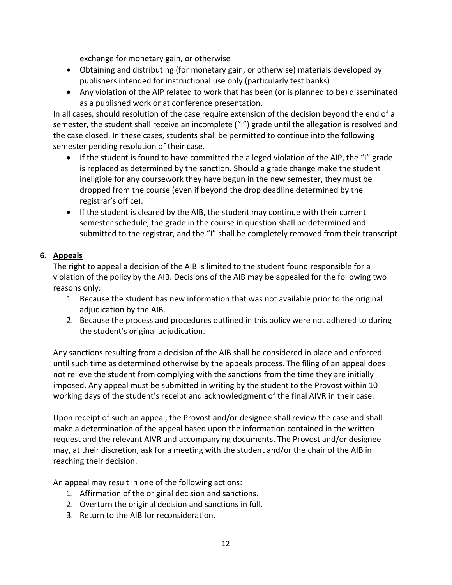exchange for monetary gain, or otherwise

- Obtaining and distributing (for monetary gain, or otherwise) materials developed by publishers intended for instructional use only (particularly test banks)
- Any violation of the AIP related to work that has been (or is planned to be) disseminated as a published work or at conference presentation.

In all cases, should resolution of the case require extension of the decision beyond the end of a semester, the student shall receive an incomplete ("I") grade until the allegation is resolved and the case closed. In these cases, students shall be permitted to continue into the following semester pending resolution of their case.

- If the student is found to have committed the alleged violation of the AIP, the "I" grade is replaced as determined by the sanction. Should a grade change make the student ineligible for any coursework they have begun in the new semester, they must be dropped from the course (even if beyond the drop deadline determined by the registrar's office).
- If the student is cleared by the AIB, the student may continue with their current semester schedule, the grade in the course in question shall be determined and submitted to the registrar, and the "I" shall be completely removed from their transcript

# **6. Appeals**

The right to appeal a decision of the AIB is limited to the student found responsible for a violation of the policy by the AIB. Decisions of the AIB may be appealed for the following two reasons only:

- 1. Because the student has new information that was not available prior to the original adiudication by the AIB.
- 2. Because the process and procedures outlined in this policy were not adhered to during the student's original adjudication.

Any sanctions resulting from a decision of the AIB shall be considered in place and enforced until such time as determined otherwise by the appeals process. The filing of an appeal does not relieve the student from complying with the sanctions from the time they are initially imposed. Any appeal must be submitted in writing by the student to the Provost within 10 working days of the student's receipt and acknowledgment of the final AIVR in their case.

Upon receipt of such an appeal, the Provost and/or designee shall review the case and shall make a determination of the appeal based upon the information contained in the written request and the relevant AIVR and accompanying documents. The Provost and/or designee may, at their discretion, ask for a meeting with the student and/or the chair of the AIB in reaching their decision.

An appeal may result in one of the following actions:

- 1. Affirmation of the original decision and sanctions.
- 2. Overturn the original decision and sanctions in full.
- 3. Return to the AIB for reconsideration.